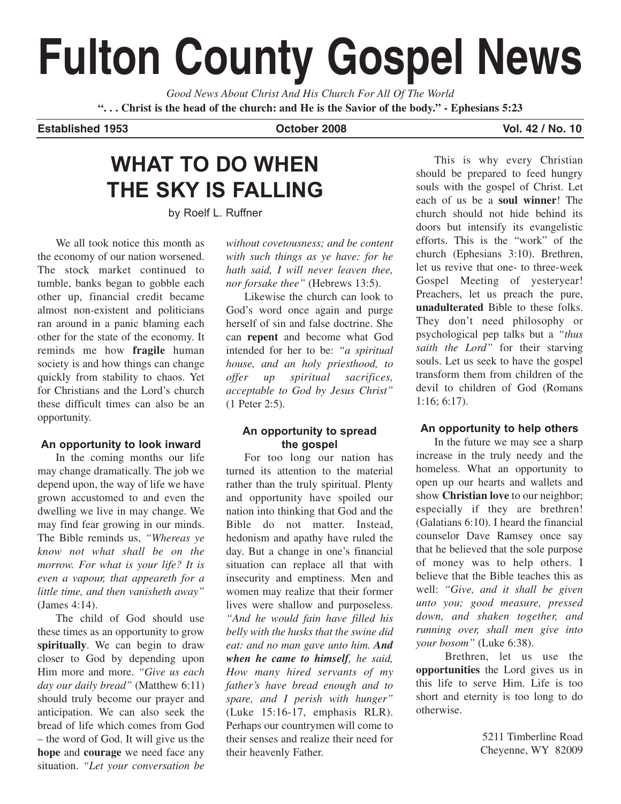# **Fulton County Gospel News**

*Good News About Christ And His Church For All Of The World* **". . . Christ is the head of the church: and He is the Savior of the body." - Ephesians 5:23**

#### **Established 1953 October 2008 Vol. 42 / No. 10**

# **WHAT TO DO WHEN THE SKY IS FALLING**

by Roelf L. Ruffner

We all took notice this month as the economy of our nation worsened. The stock market continued to tumble, banks began to gobble each other up, financial credit became almost non-existent and politicians ran around in a panic blaming each other for the state of the economy. It reminds me how **fragile** human society is and how things can change quickly from stability to chaos. Yet for Christians and the Lord's church these difficult times can also be an opportunity.

### **An opportunity to look inward**

In the coming months our life may change dramatically. The job we depend upon, the way of life we have grown accustomed to and even the dwelling we live in may change. We may find fear growing in our minds. The Bible reminds us, *"Whereas ye know not what shall be on the morrow. For what is your life? It is even a vapour, that appeareth for a little time, and then vanisheth away"* (James 4:14).

The child of God should use these times as an opportunity to grow **spiritually**. We can begin to draw closer to God by depending upon Him more and more. *"Give us each day our daily bread"* (Matthew 6:11) should truly become our prayer and anticipation. We can also seek the bread of life which comes from God – the word of God. It will give us the **hope** and **courage** we need face any situation. *"Let your conversation be*

*without covetousness; and be content with such things as ye have: for he hath said, I will never leaven thee, nor forsake thee"* (Hebrews 13:5).

Likewise the church can look to God's word once again and purge herself of sin and false doctrine. She can **repent** and become what God intended for her to be: *"a spiritual house, and an holy priesthood, to offer up spiritual sacrifices, acceptable to God by Jesus Christ"* (1 Peter 2:5).

### **An opportunity to spread the gospel**

For too long our nation has turned its attention to the material rather than the truly spiritual. Plenty and opportunity have spoiled our nation into thinking that God and the Bible do not matter. Instead, hedonism and apathy have ruled the day. But a change in one's financial situation can replace all that with insecurity and emptiness. Men and women may realize that their former lives were shallow and purposeless. *"And he would fain have filled his belly with the husks that the swine did eat: and no man gave unto him. And when he came to himself, he said, How many hired servants of my father's have bread enough and to spare, and I perish with hunger"* (Luke 15:16-17, emphasis RLR). Perhaps our countrymen will come to their senses and realize their need for their heavenly Father.

This is why every Christian should be prepared to feed hungry souls with the gospel of Christ. Let each of us be a **soul winner**! The church should not hide behind its doors but intensify its evangelistic efforts. This is the "work" of the church (Ephesians 3:10). Brethren, let us revive that one- to three-week Gospel Meeting of yesteryear! Preachers, let us preach the pure, **unadulterated** Bible to these folks. They don't need philosophy or psychological pep talks but a *"thus saith the Lord"* for their starving souls. Let us seek to have the gospel transform them from children of the devil to children of God (Romans 1:16; 6:17).

### **An opportunity to help others**

In the future we may see a sharp increase in the truly needy and the homeless. What an opportunity to open up our hearts and wallets and show **Christian love** to our neighbor; especially if they are brethren! (Galatians 6:10). I heard the financial counselor Dave Ramsey once say that he believed that the sole purpose of money was to help others. I believe that the Bible teaches this as well: *"Give, and it shall be given unto you; good measure, pressed down, and shaken together, and running over, shall men give into your bosom"* (Luke 6:38).

Brethren, let us use the **opportunities** the Lord gives us in this life to serve Him. Life is too short and eternity is too long to do otherwise.

> 5211 Timberline Road Cheyenne, WY 82009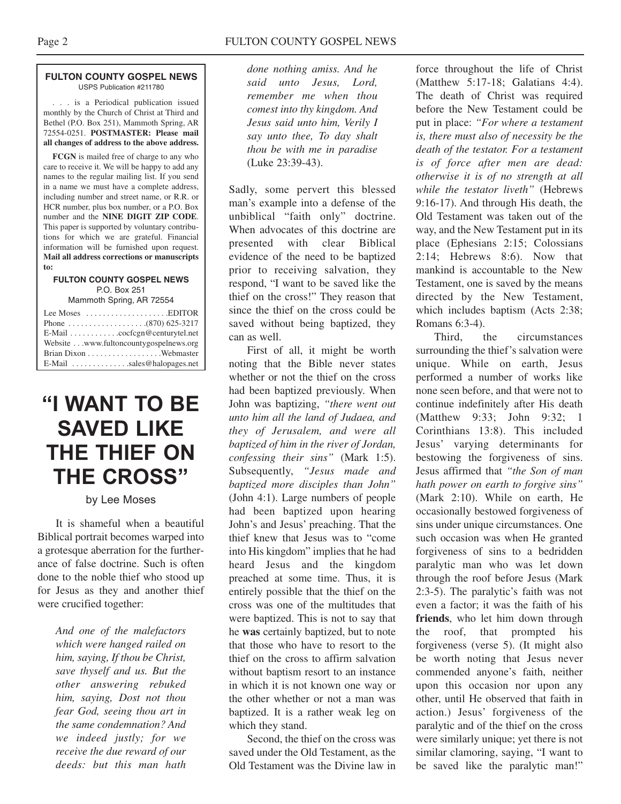#### **FULTON COUNTY GOSPEL NEWS** USPS Publication #211780

. . . is a Periodical publication issued monthly by the Church of Christ at Third and Bethel (P.O. Box 251), Mammoth Spring, AR 72554-0251. **POSTMASTER: Please mail all changes of address to the above address.**

**FCGN** is mailed free of charge to any who care to receive it. We will be happy to add any names to the regular mailing list. If you send in a name we must have a complete address, including number and street name, or R.R. or HCR number, plus box number, or a P.O. Box number and the **NINE DIGIT ZIP CODE**. This paper is supported by voluntary contributions for which we are grateful. Financial information will be furnished upon request. **Mail all address corrections or manuscripts to:**

#### **FULTON COUNTY GOSPEL NEWS** P.O. Box 251

Mammoth Spring, AR 72554

| Lee Moses $\dots \dots \dots \dots \dots$ . EDITOR              |  |
|-----------------------------------------------------------------|--|
|                                                                 |  |
| $E$ -Mail $\ldots \ldots \ldots$ . cocfcgn@centurytel.net       |  |
| Website www.fultoncountygospelnews.org                          |  |
|                                                                 |  |
| $E$ -Mail $\ldots$ , $\ldots$ , $\ldots$ , sales @halopages.net |  |

# **"I WANT TO BE SAVED LIKE THE THIEF ON THE CROSS"**

### by Lee Moses

It is shameful when a beautiful Biblical portrait becomes warped into a grotesque aberration for the furtherance of false doctrine. Such is often done to the noble thief who stood up for Jesus as they and another thief were crucified together:

*And one of the malefactors which were hanged railed on him, saying, If thou be Christ, save thyself and us. But the other answering rebuked him, saying, Dost not thou fear God, seeing thou art in the same condemnation? And we indeed justly; for we receive the due reward of our deeds: but this man hath*

*done nothing amiss. And he said unto Jesus, Lord, remember me when thou comest into thy kingdom. And Jesus said unto him, Verily I say unto thee, To day shalt thou be with me in paradise* (Luke 23:39-43).

Sadly, some pervert this blessed man's example into a defense of the unbiblical "faith only" doctrine. When advocates of this doctrine are presented with clear Biblical evidence of the need to be baptized prior to receiving salvation, they respond, "I want to be saved like the thief on the cross!" They reason that since the thief on the cross could be saved without being baptized, they can as well.

First of all, it might be worth noting that the Bible never states whether or not the thief on the cross had been baptized previously. When John was baptizing, *"there went out unto him all the land of Judaea, and they of Jerusalem, and were all baptized of him in the river of Jordan, confessing their sins"* (Mark 1:5). Subsequently, *"Jesus made and baptized more disciples than John"* (John 4:1). Large numbers of people had been baptized upon hearing John's and Jesus' preaching. That the thief knew that Jesus was to "come into His kingdom" implies that he had heard Jesus and the kingdom preached at some time. Thus, it is entirely possible that the thief on the cross was one of the multitudes that were baptized. This is not to say that he **was** certainly baptized, but to note that those who have to resort to the thief on the cross to affirm salvation without baptism resort to an instance in which it is not known one way or the other whether or not a man was baptized. It is a rather weak leg on which they stand.

Second, the thief on the cross was saved under the Old Testament, as the Old Testament was the Divine law in force throughout the life of Christ (Matthew 5:17-18; Galatians 4:4). The death of Christ was required before the New Testament could be put in place: *"For where a testament is, there must also of necessity be the death of the testator. For a testament is of force after men are dead: otherwise it is of no strength at all while the testator liveth"* (Hebrews 9:16-17). And through His death, the Old Testament was taken out of the way, and the New Testament put in its place (Ephesians 2:15; Colossians 2:14; Hebrews 8:6). Now that mankind is accountable to the New Testament, one is saved by the means directed by the New Testament, which includes baptism (Acts 2:38; Romans 6:3-4).

Third, the circumstances surrounding the thief's salvation were unique. While on earth, Jesus performed a number of works like none seen before, and that were not to continue indefinitely after His death (Matthew 9:33; John 9:32; 1 Corinthians 13:8). This included Jesus' varying determinants for bestowing the forgiveness of sins. Jesus affirmed that *"the Son of man hath power on earth to forgive sins"* (Mark 2:10). While on earth, He occasionally bestowed forgiveness of sins under unique circumstances. One such occasion was when He granted forgiveness of sins to a bedridden paralytic man who was let down through the roof before Jesus (Mark 2:3-5). The paralytic's faith was not even a factor; it was the faith of his **friends**, who let him down through the roof, that prompted his forgiveness (verse 5). (It might also be worth noting that Jesus never commended anyone's faith, neither upon this occasion nor upon any other, until He observed that faith in action.) Jesus' forgiveness of the paralytic and of the thief on the cross were similarly unique; yet there is not similar clamoring, saying, "I want to be saved like the paralytic man!"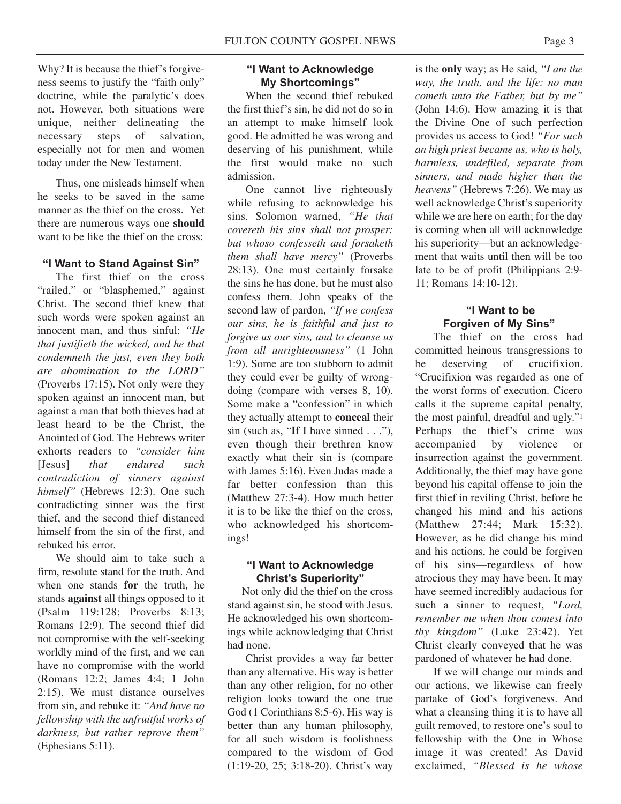Why? It is because the thief's forgiveness seems to justify the "faith only" doctrine, while the paralytic's does not. However, both situations were unique, neither delineating the necessary steps of salvation, especially not for men and women today under the New Testament.

Thus, one misleads himself when he seeks to be saved in the same manner as the thief on the cross. Yet there are numerous ways one **should** want to be like the thief on the cross:

#### **"I Want to Stand Against Sin"**

The first thief on the cross "railed," or "blasphemed," against Christ. The second thief knew that such words were spoken against an innocent man, and thus sinful: *"He that justifieth the wicked, and he that condemneth the just, even they both are abomination to the LORD"* (Proverbs 17:15). Not only were they spoken against an innocent man, but against a man that both thieves had at least heard to be the Christ, the Anointed of God. The Hebrews writer exhorts readers to *"consider him* [Jesus] *that endured such contradiction of sinners against himself"* (Hebrews 12:3). One such contradicting sinner was the first thief, and the second thief distanced himself from the sin of the first, and rebuked his error.

We should aim to take such a firm, resolute stand for the truth. And when one stands **for** the truth, he stands **against** all things opposed to it (Psalm 119:128; Proverbs 8:13; Romans 12:9). The second thief did not compromise with the self-seeking worldly mind of the first, and we can have no compromise with the world (Romans 12:2; James 4:4; 1 John 2:15). We must distance ourselves from sin, and rebuke it: *"And have no fellowship with the unfruitful works of darkness, but rather reprove them"* (Ephesians 5:11).

## **"I Want to Acknowledge My Shortcomings"**

When the second thief rebuked the first thief's sin, he did not do so in an attempt to make himself look good. He admitted he was wrong and deserving of his punishment, while the first would make no such admission.

One cannot live righteously while refusing to acknowledge his sins. Solomon warned, *"He that covereth his sins shall not prosper: but whoso confesseth and forsaketh them shall have mercy"* (Proverbs 28:13). One must certainly forsake the sins he has done, but he must also confess them. John speaks of the second law of pardon, *"If we confess our sins, he is faithful and just to forgive us our sins, and to cleanse us from all unrighteousness"* (1 John 1:9). Some are too stubborn to admit they could ever be guilty of wrongdoing (compare with verses 8, 10). Some make a "confession" in which they actually attempt to **conceal** their sin (such as, "**If** I have sinned . . ."), even though their brethren know exactly what their sin is (compare with James 5:16). Even Judas made a far better confession than this (Matthew 27:3-4). How much better it is to be like the thief on the cross, who acknowledged his shortcomings!

#### **"I Want to Acknowledge Christ's Superiority"**

Not only did the thief on the cross stand against sin, he stood with Jesus. He acknowledged his own shortcomings while acknowledging that Christ had none.

Christ provides a way far better than any alternative. His way is better than any other religion, for no other religion looks toward the one true God (1 Corinthians 8:5-6). His way is better than any human philosophy, for all such wisdom is foolishness compared to the wisdom of God (1:19-20, 25; 3:18-20). Christ's way

is the **only** way; as He said, *"I am the way, the truth, and the life: no man cometh unto the Father, but by me"* (John 14:6). How amazing it is that the Divine One of such perfection provides us access to God! *"For such an high priest became us, who is holy, harmless, undefiled, separate from sinners, and made higher than the heavens"* (Hebrews 7:26). We may as well acknowledge Christ's superiority while we are here on earth; for the day is coming when all will acknowledge his superiority—but an acknowledgement that waits until then will be too late to be of profit (Philippians 2:9- 11; Romans 14:10-12).

## **"I Want to be Forgiven of My Sins"**

The thief on the cross had committed heinous transgressions to be deserving of crucifixion. "Crucifixion was regarded as one of the worst forms of execution. Cicero calls it the supreme capital penalty, the most painful, dreadful and ugly."1 Perhaps the thief's crime was accompanied by violence or insurrection against the government. Additionally, the thief may have gone beyond his capital offense to join the first thief in reviling Christ, before he changed his mind and his actions (Matthew 27:44; Mark 15:32). However, as he did change his mind and his actions, he could be forgiven of his sins—regardless of how atrocious they may have been. It may have seemed incredibly audacious for such a sinner to request, *"Lord, remember me when thou comest into thy kingdom"* (Luke 23:42). Yet Christ clearly conveyed that he was pardoned of whatever he had done.

If we will change our minds and our actions, we likewise can freely partake of God's forgiveness. And what a cleansing thing it is to have all guilt removed, to restore one's soul to fellowship with the One in Whose image it was created! As David exclaimed, *"Blessed is he whose*